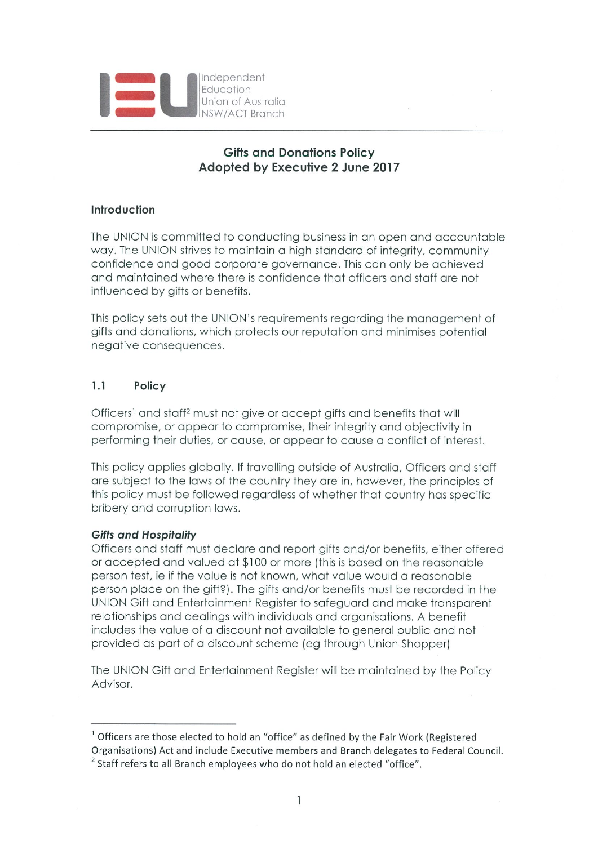

# Gifts qnd Donations Policy Adopted by Executive 2 June 2017

# Introduction

The UNION is committed to conducting business in an open and accountable way. The UNION strives to maintain a high standard of integrity, community confidence and good corporate governance. This can only be achieved and maintained where there is confidence that officers and staff are not influenced by gifts or benefits.

This policy sets out the UNION's requirements regording the monogemenf of gifts and donations, which protects our reputation and minimises potential negofive consequences.

#### $1.1$ Policy

Officers<sup>1</sup> and staff<sup>2</sup> must not give or accept gifts and benefits that will compromise, or appear to compromise, their integrity and objectivity in performing their duties, or cause, or appear to cause a conflict of interest.

This policy applies globally. If travelling outside of Australia, Officers and staff are subject to the laws of the country they are in, however, the principles of this policy must be followed regardless of whether that country has specific bribery and corruption laws.

## Gifts and Hospitality

Officers and staff must declare and report gifts and/or benefits, either offered or accepted and valued at \$100 or more (this is based on the reasonable person test, ie if the value is not known, what value would a reasonable person place on the gift?). The gifts and/or benefits must be recorded in the UNION Gift and Entertainment Register to safeguard and make transparent relationships and dealings with individuals and organisations. A benefit includes the value of a discount not available to general public and not provided as part of a discount scheme (eg through Union Shopper)

The UNION Gift and Entertainment Register will be maintained by the Policy Advisor.

 $1$  Officers are those elected to hold an "office" as defined by the Fair Work (Registered Organisations) Act and include Executive members and Branch delegates to Federal Council. <sup>2</sup> Staff refers to all Branch employees who do not hold an elected "office".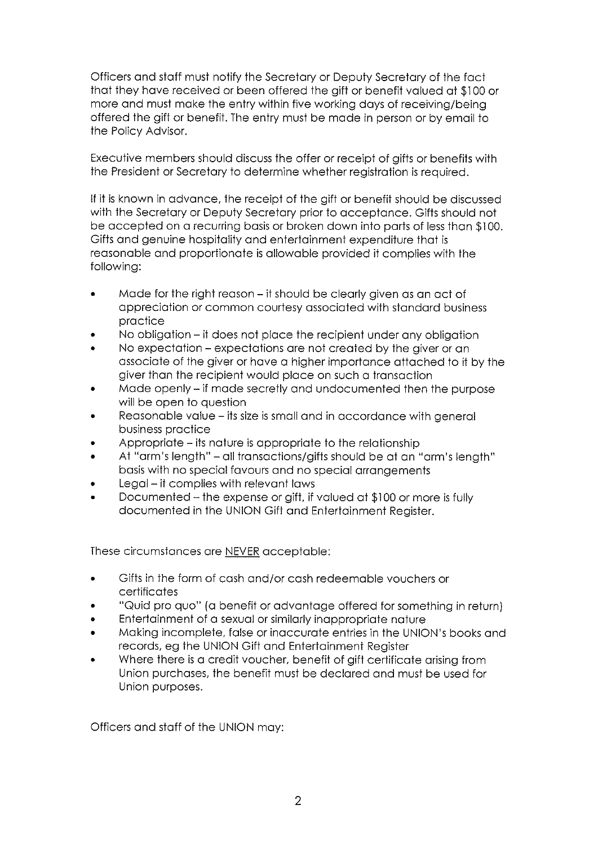Officers and staff must notify the Secretary or Deputy Secretary of the fact Ihot they hove received or been offered the gift or benefit volued of \$100 or more and must make the entry within five working days of receiving/being offered the gift or benefit. The entry must be made in person or by email to the Policy Advisor.

Executive members should discuss the offer or receipt of gifts or benefits with the President or Secretory to determine whether regisfrofion is required.

If it is known in odvonce, the receipt of the gift or benefit should be discussed with the Secretory or Deputy Secretory prior to occepfonce. Gifts should not be accepted on a recurring basis or broken down into parts of less than \$100. Gifts and genuine hospitality and entertainment expenditure that is reasonable and proportionate is allowable provided it complies with the following:

- Made for the right reason it should be clearly given as an act of appreciation or common courtesy associated with standard business procfice
- No obligation it does not place the recipient under any obligation
- No expectation expectations are not created by the giver or an associate of the giver or have a higher importance attached to it by the giver than the recipient would place on such a transaction
- Made openly if made secretly and undocumented then the purpose will be open to question
- Reasonable value its size is small and in accordance with general business procfice
- Appropriate its nature is appropriate to the relationship
- At "arm's length" all transactions/gifts should be at an "arm's length" basis with no special favours and no special arrangements
- Legal it complies with relevant laws
- Documented the expense or gift, if valued at \$100 or more is fully documented in the UNION Gift and Entertainment Register.

These circumstonces ore NEVER occepfoble:

- . Gifts in the form of cosh Grid/or cosh redeemoble vouchers or certificates
- "Quid pro quo" (a benefit or advantage offered for something in return)
- Entertainment of a sexual or similarly inappropriate nature
- Making incomplete, false or inaccurate entries in the UNION's books and records, eg the UNION Gift and Entertainment Register
- Where there is a credit voucher, benefit of gift certificate arising from Union purchases, the benefit must be declared and must be used for Union purposes.

Officers and staff of the UNION may: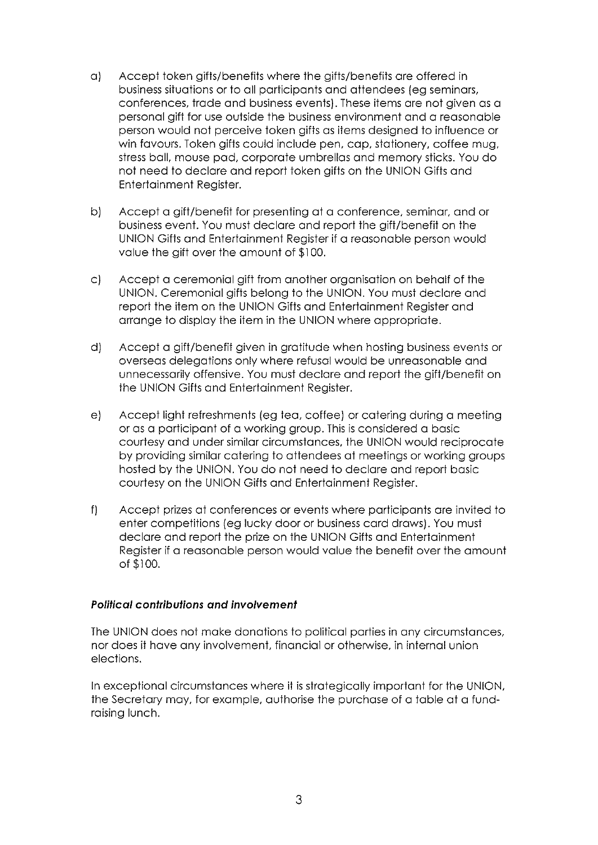- o1 Accept token gifts/benefits where the gifts/benefits ore offered in business situations or to all participants and attendees (eg seminars, conferences, trade and business events). These items are not given as a personal gift for use outside the business environment and a reasonable person would not perceive token gifts as items designed to influence or win favours. Token gifts could include pen, cap, stationery, coffee mug, stress ball, mouse pad, corporate umbrellas and memory sticks. You do not need to declare and report token gifts on the UNION Gifts and Entertainment Register.
- b) Accept a gift/benefit for presenting at a conference, seminar, and or business event. You must declare and report the gift/benefit on the UNION Gifts and Entertainment Register if a reasonable person would value the gift over the amount of \$100.
- c) Accept a ceremonial gift from another organisation on behalf of the UNION, Ceremonial gifts belong to the UNION. You must declare and report the item on the UNION Gifts and Entertainment Register and arrange to display the item in the UNION where appropriate.
- d) Accept a gift/benefit given in gratitude when hosting business events or overseas delegations only where refusal would be unreasonable and unnecessarily offensive. You must declare and report the gift/benefit on the UNION Gifts and Entertainment Register.
- e) Accept light refreshments (eg Ieo, coffee) or cotering during o meeting or as a participant of a working group. This is considered a basic courtesy and under similar circumstances, the UNION would reciprocate by providing similor cotering to offendees of meetings or working groups hosted by the UNION. You do not need to declare and report basic courtesy on the UNION Gifts and Entertainment Register.
- f) Accept prizes at conferences or events where participants are invited to enter competitions (eg lucky door or business card draws). You must declare and report the prize on the UNION Gifts and Entertainment Register if a reasonable person would value the benefit over the amount of \$100.

## Political contributions and involvement

The UNION does not make donations to political parties in any circumstances, nor does it have any involvement, financial or otherwise, in internal union elections.

In exceptional circumstances where it is strategically important for the UNION, the Secretary may, for example, authorise the purchase of a table at a fundroising lunch.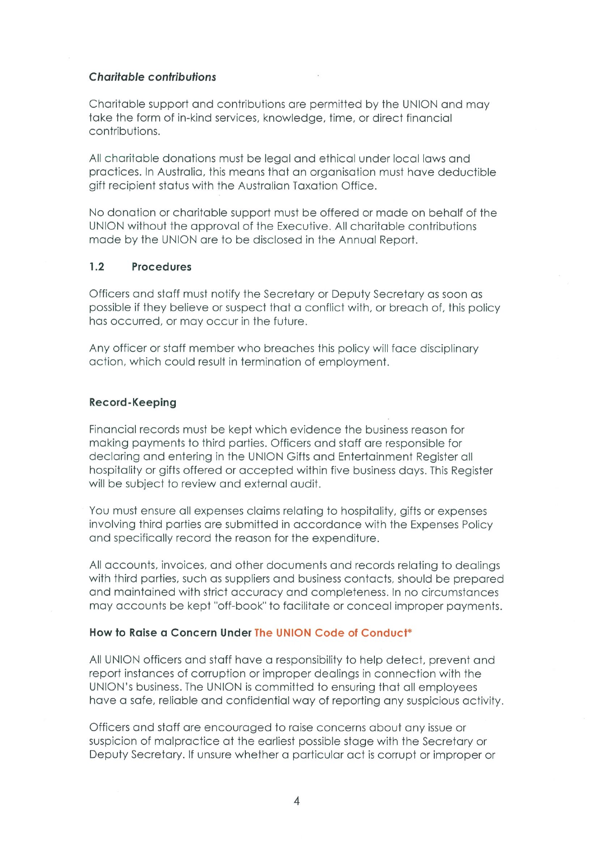### Charitable contributions

Charitable support and contributions are permitted by the UNION and may toke the form of in-kind services, knowledge, time, or direct finonciol contributions.

All charitable donations must be legal and ethical under local laws and practices. In Australia, this means that an organisation must have deductible gift recipient status with the Australian Taxation Office.

No donation or chorifoble support must be offered or mode on beholf of the UNION without the approval of the Executive. All charitable contributions mode by the UNION ore to be disclosed in the Annuol Report.

#### $1.2$ Procedures

Officers and staff must notify the Secretary or Deputy Secretary as soon as possible if they believe or suspect Ihof o conflict with, or breoch of, this policy has occurred, or may occur in the future.

Any officer or staff member who breaches this policy will face disciplinary oction, which could result in terminofion of employment.

### Record-Keeping

Financial records must be kept which evidence the business reason for making payments to third parties. Officers and staff are responsible for declaring and entering in the UNION Gifts and Entertainment Register all hospitality or gifts offered or accepted within five business days. This Register will be subject to review and external audit.

You must ensure all expenses claims relating to hospitality, gifts or expenses involving third parties are submitted in accordance with the Expenses Policy and specifically record the reason for the expenditure.

All accounts, invoices, and other documents and records relating to dealings with third parties, such as suppliers and business contacts, should be prepared and maintained with strict accuracy and completeness. In no circumstances may accounts be kept "off-book" to facilitate or conceal improper payments.

### How to Roise o Concern Under The UNION Code of Conduct\*

All UNION officers and staff have a responsibility to help detect, prevent and report instances of corruption or improper dealings in connection with the UNION's business. The UNION is committed to ensuring that all employees have a safe, reliable and confidential way of reporting any suspicious activity.

Officers Grid SIGff ore encouroged to roise concerns obouf ony issue or suspicion of malpractice at the earliest possible stage with the Secretary or Deputy Secretary. If unsure whether a particular act is corrupt or improper or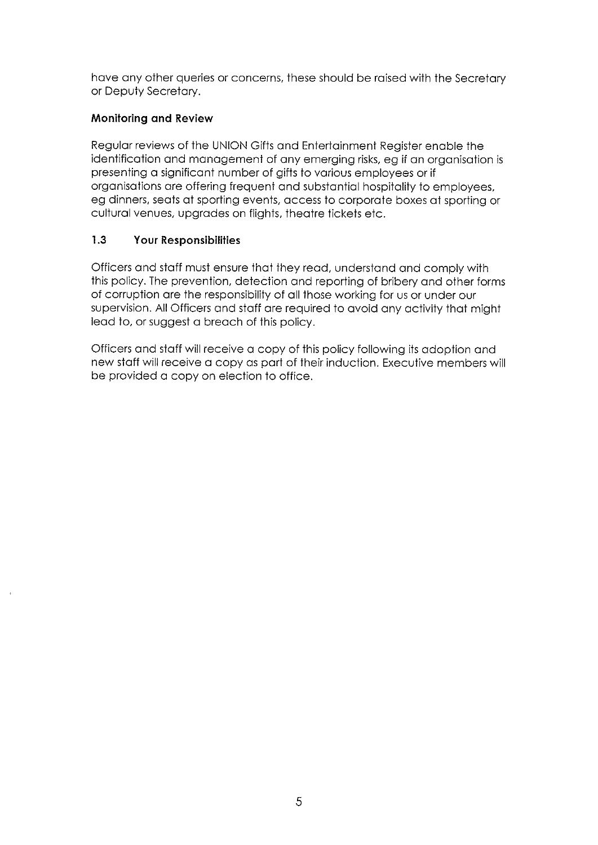hove ony other queries or concerns, these should be roised with the Secretory or Deputy Secretory.

# Monitoring and Review

Regular reviews of the UNION Gifts and Entertainment Register enable the identification and management of any emerging risks, eg if an organisation is presenting a significant number of gifts to various employees or if orgonisofions ore offering frequent Grid subsfonfiol hospitolity to employees, eg dinners, seats at sporting events, access to corporate boxes at sporting or cultural venues, upgrades on flights, theatre tickets etc.

#### 1.3 Your Responsibilities

Officers and staff must ensure that they read, understand and comply with this policy. The prevention, detection and reporting of bribery and other forms of corruption are the responsibility of all those working for us or under our supervision. All Officers and staff are required to avoid any activity that might Ieod to, or suggest o breoch of this policy.

Officers and staff will receive a copy of this policy following its adoption and new staff will receive a copy as part of their induction. Executive members will be provided a copy on election to office.